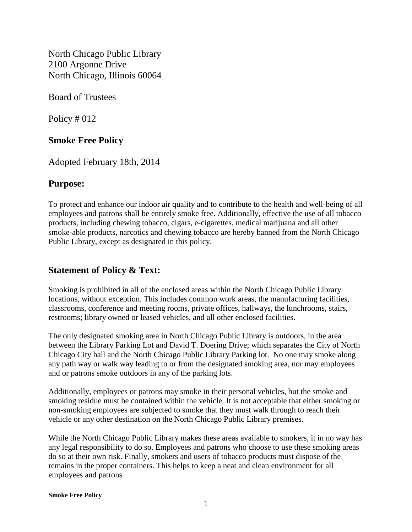North Chicago Public Library 2100 Argonne Drive North Chicago, Illinois 60064

Board of Trustees

Policy # 012

## **Smoke Free Policy**

Adopted February 18th, 2014

## **Purpose:**

To protect and enhance our indoor air quality and to contribute to the health and well-being of all employees and patrons shall be entirely smoke free. Additionally, effective the use of all tobacco products, including chewing tobacco, cigars, e-cigarettes, medical marijuana and all other smoke-able products, narcotics and chewing tobacco are hereby banned from the North Chicago Public Library, except as designated in this policy.

## **Statement of Policy & Text:**

Smoking is prohibited in all of the enclosed areas within the North Chicago Public Library locations, without exception. This includes common work areas, the manufacturing facilities, classrooms, conference and meeting rooms, private offices, hallways, the lunchrooms, stairs, restrooms; library owned or leased vehicles, and all other enclosed facilities.

The only designated smoking area in North Chicago Public Library is outdoors, in the area between the Library Parking Lot and David T. Doering Drive; which separates the City of North Chicago City hall and the North Chicago Public Library Parking lot. No one may smoke along any path way or walk way leading to or from the designated smoking area, nor may employees and or patrons smoke outdoors in any of the parking lots.

Additionally, employees or patrons may smoke in their personal vehicles, but the smoke and smoking residue must be contained within the vehicle. It is not acceptable that either smoking or non-smoking employees are subjected to smoke that they must walk through to reach their vehicle or any other destination on the North Chicago Public Library premises.

While the North Chicago Public Library makes these areas available to smokers, it in no way has any legal responsibility to do so. Employees and patrons who choose to use these smoking areas do so at their own risk. Finally, smokers and users of tobacco products must dispose of the remains in the proper containers. This helps to keep a neat and clean environment for all employees and patrons

**Smoke Free Policy**